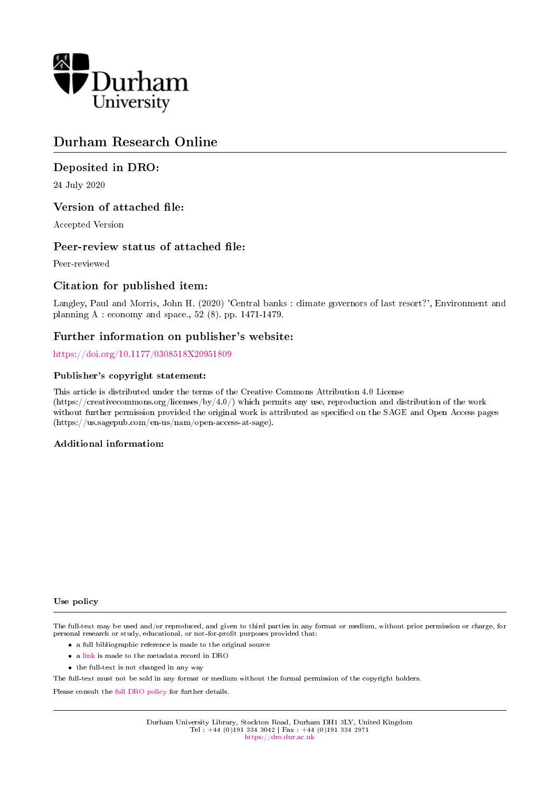

# Durham Research Online

## Deposited in DRO:

24 July 2020

### Version of attached file:

Accepted Version

### Peer-review status of attached file:

Peer-reviewed

## Citation for published item:

Langley, Paul and Morris, John H. (2020) 'Central banks : climate governors of last resort?', Environment and planning A : economy and space., 52 (8). pp. 1471-1479.

## Further information on publisher's website:

<https://doi.org/10.1177/0308518X20951809>

#### Publisher's copyright statement:

This article is distributed under the terms of the Creative Commons Attribution 4.0 License (https://creativecommons.org/licenses/by/4.0/) which permits any use, reproduction and distribution of the work without further permission provided the original work is attributed as specified on the SAGE and Open Access pages (https://us.sagepub.com/en-us/nam/open-access-at-sage).

#### Additional information:

#### Use policy

The full-text may be used and/or reproduced, and given to third parties in any format or medium, without prior permission or charge, for personal research or study, educational, or not-for-profit purposes provided that:

- a full bibliographic reference is made to the original source
- a [link](http://dro.dur.ac.uk/31380/) is made to the metadata record in DRO
- the full-text is not changed in any way

The full-text must not be sold in any format or medium without the formal permission of the copyright holders.

Please consult the [full DRO policy](https://dro.dur.ac.uk/policies/usepolicy.pdf) for further details.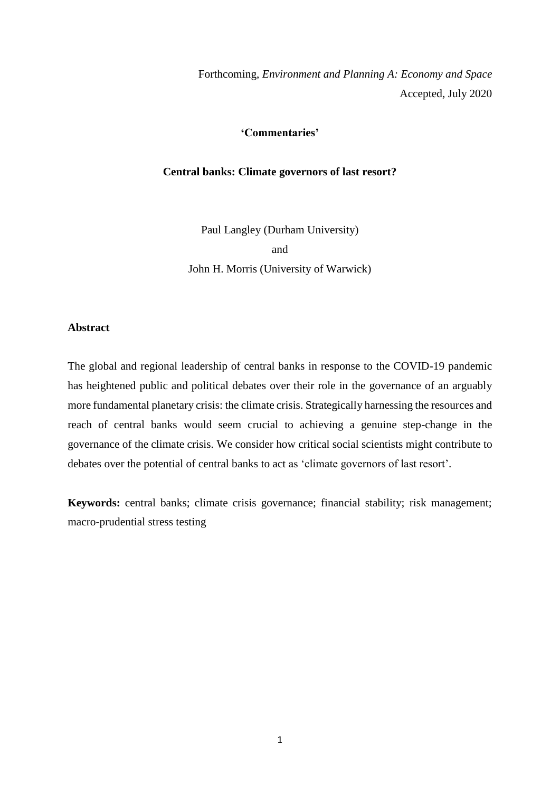Forthcoming, *Environment and Planning A: Economy and Space* Accepted, July 2020

## **'Commentaries'**

#### **Central banks: Climate governors of last resort?**

Paul Langley (Durham University) and John H. Morris (University of Warwick)

### **Abstract**

The global and regional leadership of central banks in response to the COVID-19 pandemic has heightened public and political debates over their role in the governance of an arguably more fundamental planetary crisis: the climate crisis. Strategically harnessing the resources and reach of central banks would seem crucial to achieving a genuine step-change in the governance of the climate crisis. We consider how critical social scientists might contribute to debates over the potential of central banks to act as 'climate governors of last resort'.

**Keywords:** central banks; climate crisis governance; financial stability; risk management; macro-prudential stress testing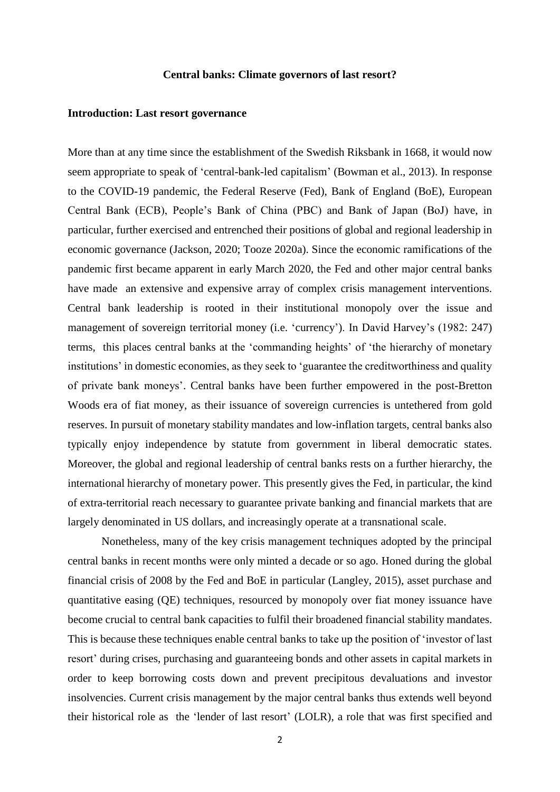#### **Central banks: Climate governors of last resort?**

#### **Introduction: Last resort governance**

More than at any time since the establishment of the Swedish Riksbank in 1668, it would now seem appropriate to speak of 'central-bank-led capitalism' (Bowman et al., 2013). In response to the COVID-19 pandemic, the Federal Reserve (Fed), Bank of England (BoE), European Central Bank (ECB), People's Bank of China (PBC) and Bank of Japan (BoJ) have, in particular, further exercised and entrenched their positions of global and regional leadership in economic governance (Jackson, 2020; Tooze 2020a). Since the economic ramifications of the pandemic first became apparent in early March 2020, the Fed and other major central banks have made an extensive and expensive array of complex crisis management interventions. Central bank leadership is rooted in their institutional monopoly over the issue and management of sovereign territorial money (i.e. 'currency'). In David Harvey's (1982: 247) terms, this places central banks at the 'commanding heights' of 'the hierarchy of monetary institutions' in domestic economies, as they seek to 'guarantee the creditworthiness and quality of private bank moneys'. Central banks have been further empowered in the post-Bretton Woods era of fiat money, as their issuance of sovereign currencies is untethered from gold reserves. In pursuit of monetary stability mandates and low-inflation targets, central banks also typically enjoy independence by statute from government in liberal democratic states. Moreover, the global and regional leadership of central banks rests on a further hierarchy, the international hierarchy of monetary power. This presently gives the Fed, in particular, the kind of extra-territorial reach necessary to guarantee private banking and financial markets that are largely denominated in US dollars, and increasingly operate at a transnational scale.

Nonetheless, many of the key crisis management techniques adopted by the principal central banks in recent months were only minted a decade or so ago. Honed during the global financial crisis of 2008 by the Fed and BoE in particular (Langley, 2015), asset purchase and quantitative easing (QE) techniques, resourced by monopoly over fiat money issuance have become crucial to central bank capacities to fulfil their broadened financial stability mandates. This is because these techniques enable central banks to take up the position of 'investor of last resort' during crises, purchasing and guaranteeing bonds and other assets in capital markets in order to keep borrowing costs down and prevent precipitous devaluations and investor insolvencies. Current crisis management by the major central banks thus extends well beyond their historical role as the 'lender of last resort' (LOLR), a role that was first specified and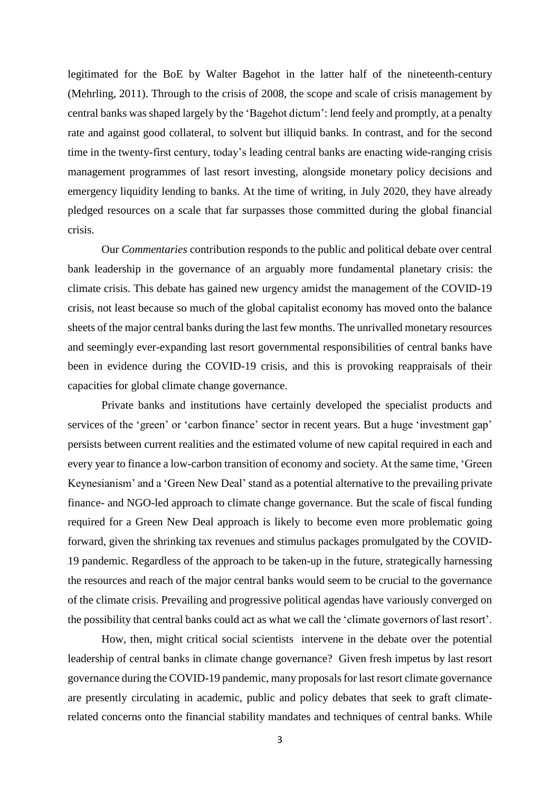legitimated for the BoE by Walter Bagehot in the latter half of the nineteenth-century (Mehrling, 2011). Through to the crisis of 2008, the scope and scale of crisis management by central banks was shaped largely by the 'Bagehot dictum': lend feely and promptly, at a penalty rate and against good collateral, to solvent but illiquid banks. In contrast, and for the second time in the twenty-first century, today's leading central banks are enacting wide-ranging crisis management programmes of last resort investing, alongside monetary policy decisions and emergency liquidity lending to banks. At the time of writing, in July 2020, they have already pledged resources on a scale that far surpasses those committed during the global financial crisis.

Our *Commentaries* contribution responds to the public and political debate over central bank leadership in the governance of an arguably more fundamental planetary crisis: the climate crisis. This debate has gained new urgency amidst the management of the COVID-19 crisis, not least because so much of the global capitalist economy has moved onto the balance sheets of the major central banks during the last few months. The unrivalled monetary resources and seemingly ever-expanding last resort governmental responsibilities of central banks have been in evidence during the COVID-19 crisis, and this is provoking reappraisals of their capacities for global climate change governance.

Private banks and institutions have certainly developed the specialist products and services of the 'green' or 'carbon finance' sector in recent years. But a huge 'investment gap' persists between current realities and the estimated volume of new capital required in each and every year to finance a low-carbon transition of economy and society. At the same time, 'Green Keynesianism' and a 'Green New Deal' stand as a potential alternative to the prevailing private finance- and NGO-led approach to climate change governance. But the scale of fiscal funding required for a Green New Deal approach is likely to become even more problematic going forward, given the shrinking tax revenues and stimulus packages promulgated by the COVID-19 pandemic. Regardless of the approach to be taken-up in the future, strategically harnessing the resources and reach of the major central banks would seem to be crucial to the governance of the climate crisis. Prevailing and progressive political agendas have variously converged on the possibility that central banks could act as what we call the 'climate governors of last resort'.

How, then, might critical social scientists intervene in the debate over the potential leadership of central banks in climate change governance? Given fresh impetus by last resort governance during the COVID-19 pandemic, many proposals for last resort climate governance are presently circulating in academic, public and policy debates that seek to graft climaterelated concerns onto the financial stability mandates and techniques of central banks. While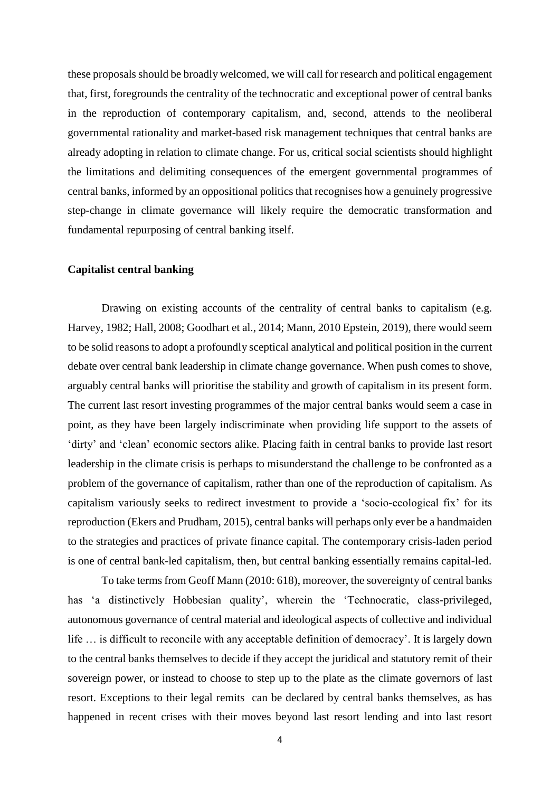these proposals should be broadly welcomed, we will call for research and political engagement that, first, foregrounds the centrality of the technocratic and exceptional power of central banks in the reproduction of contemporary capitalism, and, second, attends to the neoliberal governmental rationality and market-based risk management techniques that central banks are already adopting in relation to climate change. For us, critical social scientists should highlight the limitations and delimiting consequences of the emergent governmental programmes of central banks, informed by an oppositional politics that recognises how a genuinely progressive step-change in climate governance will likely require the democratic transformation and fundamental repurposing of central banking itself.

#### **Capitalist central banking**

Drawing on existing accounts of the centrality of central banks to capitalism (e.g. Harvey, 1982; Hall, 2008; Goodhart et al., 2014; Mann, 2010 Epstein, 2019), there would seem to be solid reasons to adopt a profoundly sceptical analytical and political position in the current debate over central bank leadership in climate change governance. When push comes to shove, arguably central banks will prioritise the stability and growth of capitalism in its present form. The current last resort investing programmes of the major central banks would seem a case in point, as they have been largely indiscriminate when providing life support to the assets of 'dirty' and 'clean' economic sectors alike. Placing faith in central banks to provide last resort leadership in the climate crisis is perhaps to misunderstand the challenge to be confronted as a problem of the governance of capitalism, rather than one of the reproduction of capitalism. As capitalism variously seeks to redirect investment to provide a 'socio-ecological fix' for its reproduction (Ekers and Prudham, 2015), central banks will perhaps only ever be a handmaiden to the strategies and practices of private finance capital. The contemporary crisis-laden period is one of central bank-led capitalism, then, but central banking essentially remains capital-led.

To take terms from Geoff Mann (2010: 618), moreover, the sovereignty of central banks has 'a distinctively Hobbesian quality', wherein the 'Technocratic, class-privileged, autonomous governance of central material and ideological aspects of collective and individual life … is difficult to reconcile with any acceptable definition of democracy'. It is largely down to the central banks themselves to decide if they accept the juridical and statutory remit of their sovereign power, or instead to choose to step up to the plate as the climate governors of last resort. Exceptions to their legal remits can be declared by central banks themselves, as has happened in recent crises with their moves beyond last resort lending and into last resort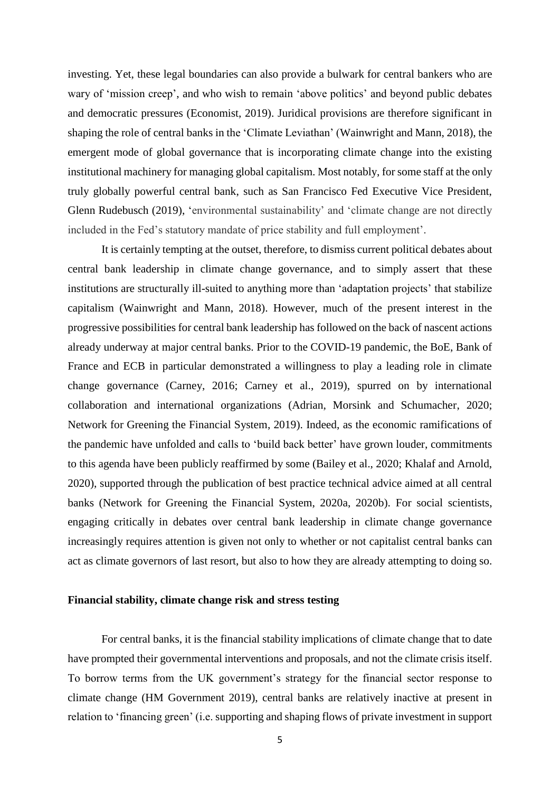investing. Yet, these legal boundaries can also provide a bulwark for central bankers who are wary of 'mission creep', and who wish to remain 'above politics' and beyond public debates and democratic pressures (Economist, 2019). Juridical provisions are therefore significant in shaping the role of central banks in the 'Climate Leviathan' (Wainwright and Mann, 2018), the emergent mode of global governance that is incorporating climate change into the existing institutional machinery for managing global capitalism. Most notably, for some staff at the only truly globally powerful central bank, such as San Francisco Fed Executive Vice President, Glenn Rudebusch (2019), 'environmental sustainability' and 'climate change are not directly included in the Fed's statutory mandate of price stability and full employment'.

It is certainly tempting at the outset, therefore, to dismiss current political debates about central bank leadership in climate change governance, and to simply assert that these institutions are structurally ill-suited to anything more than 'adaptation projects' that stabilize capitalism (Wainwright and Mann, 2018). However, much of the present interest in the progressive possibilities for central bank leadership has followed on the back of nascent actions already underway at major central banks. Prior to the COVID-19 pandemic, the BoE, Bank of France and ECB in particular demonstrated a willingness to play a leading role in climate change governance (Carney, 2016; Carney et al., 2019), spurred on by international collaboration and international organizations (Adrian, Morsink and Schumacher, 2020; Network for Greening the Financial System, 2019). Indeed, as the economic ramifications of the pandemic have unfolded and calls to 'build back better' have grown louder, commitments to this agenda have been publicly reaffirmed by some (Bailey et al., 2020; Khalaf and Arnold, 2020), supported through the publication of best practice technical advice aimed at all central banks (Network for Greening the Financial System, 2020a, 2020b). For social scientists, engaging critically in debates over central bank leadership in climate change governance increasingly requires attention is given not only to whether or not capitalist central banks can act as climate governors of last resort, but also to how they are already attempting to doing so.

#### **Financial stability, climate change risk and stress testing**

For central banks, it is the financial stability implications of climate change that to date have prompted their governmental interventions and proposals, and not the climate crisis itself. To borrow terms from the UK government's strategy for the financial sector response to climate change (HM Government 2019), central banks are relatively inactive at present in relation to 'financing green' (i.e. supporting and shaping flows of private investment in support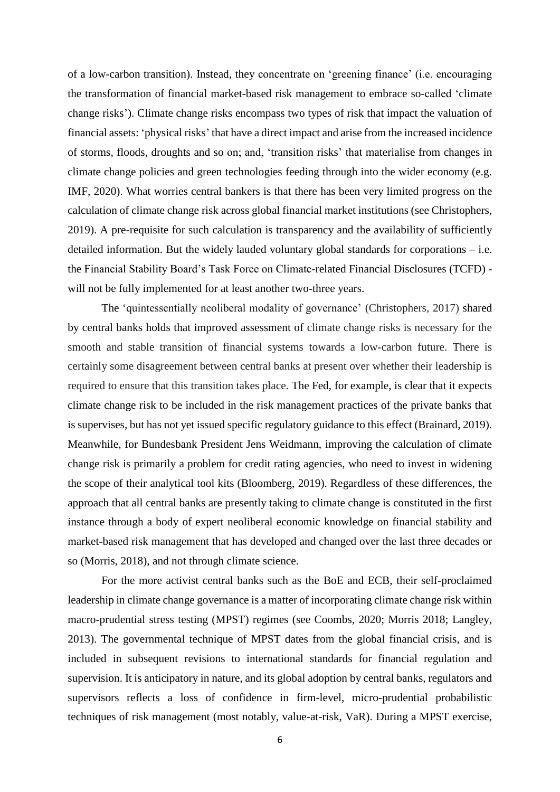of a low-carbon transition). Instead, they concentrate on 'greening finance' (i.e. encouraging the transformation of financial market-based risk management to embrace so-called 'climate change risks'). Climate change risks encompass two types of risk that impact the valuation of financial assets: 'physical risks' that have a direct impact and arise from the increased incidence of storms, floods, droughts and so on; and, 'transition risks' that materialise from changes in climate change policies and green technologies feeding through into the wider economy (e.g. IMF, 2020). What worries central bankers is that there has been very limited progress on the calculation of climate change risk across global financial market institutions (see Christophers, 2019). A pre-requisite for such calculation is transparency and the availability of sufficiently detailed information. But the widely lauded voluntary global standards for corporations – i.e. the Financial Stability Board's Task Force on Climate-related Financial Disclosures (TCFD) will not be fully implemented for at least another two-three years.

The 'quintessentially neoliberal modality of governance' (Christophers, 2017) shared by central banks holds that improved assessment of climate change risks is necessary for the smooth and stable transition of financial systems towards a low-carbon future. There is certainly some disagreement between central banks at present over whether their leadership is required to ensure that this transition takes place. The Fed, for example, is clear that it expects climate change risk to be included in the risk management practices of the private banks that is supervises, but has not yet issued specific regulatory guidance to this effect (Brainard, 2019). Meanwhile, for Bundesbank President Jens Weidmann, improving the calculation of climate change risk is primarily a problem for credit rating agencies, who need to invest in widening the scope of their analytical tool kits (Bloomberg, 2019). Regardless of these differences, the approach that all central banks are presently taking to climate change is constituted in the first instance through a body of expert neoliberal economic knowledge on financial stability and market-based risk management that has developed and changed over the last three decades or so (Morris, 2018), and not through climate science.

For the more activist central banks such as the BoE and ECB, their self-proclaimed leadership in climate change governance is a matter of incorporating climate change risk within macro-prudential stress testing (MPST) regimes (see Coombs, 2020; Morris 2018; Langley, 2013). The governmental technique of MPST dates from the global financial crisis, and is included in subsequent revisions to international standards for financial regulation and supervision. It is anticipatory in nature, and its global adoption by central banks, regulators and supervisors reflects a loss of confidence in firm-level, micro-prudential probabilistic techniques of risk management (most notably, value-at-risk, VaR). During a MPST exercise,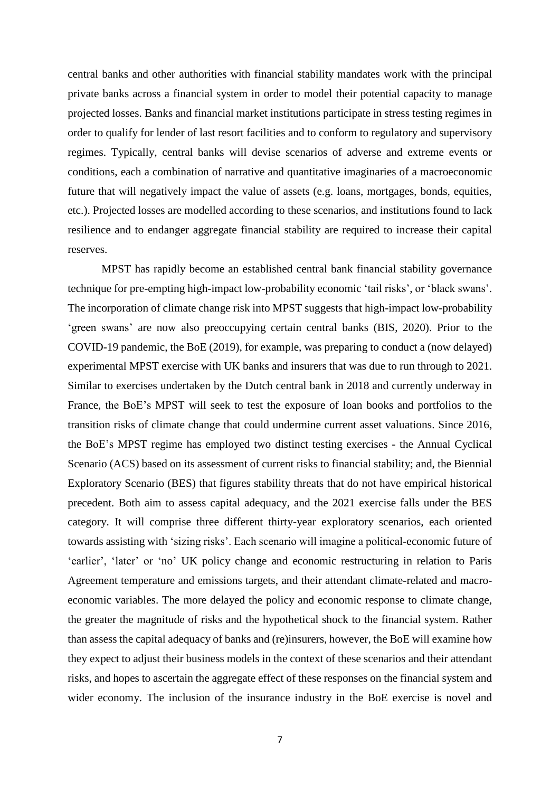central banks and other authorities with financial stability mandates work with the principal private banks across a financial system in order to model their potential capacity to manage projected losses. Banks and financial market institutions participate in stress testing regimes in order to qualify for lender of last resort facilities and to conform to regulatory and supervisory regimes. Typically, central banks will devise scenarios of adverse and extreme events or conditions, each a combination of narrative and quantitative imaginaries of a macroeconomic future that will negatively impact the value of assets (e.g. loans, mortgages, bonds, equities, etc.). Projected losses are modelled according to these scenarios, and institutions found to lack resilience and to endanger aggregate financial stability are required to increase their capital reserves.

MPST has rapidly become an established central bank financial stability governance technique for pre-empting high-impact low-probability economic 'tail risks', or 'black swans'. The incorporation of climate change risk into MPST suggests that high-impact low-probability 'green swans' are now also preoccupying certain central banks (BIS, 2020). Prior to the COVID-19 pandemic, the BoE (2019), for example, was preparing to conduct a (now delayed) experimental MPST exercise with UK banks and insurers that was due to run through to 2021. Similar to exercises undertaken by the Dutch central bank in 2018 and currently underway in France, the BoE's MPST will seek to test the exposure of loan books and portfolios to the transition risks of climate change that could undermine current asset valuations. Since 2016, the BoE's MPST regime has employed two distinct testing exercises - the Annual Cyclical Scenario (ACS) based on its assessment of current risks to financial stability; and, the Biennial Exploratory Scenario (BES) that figures stability threats that do not have empirical historical precedent. Both aim to assess capital adequacy, and the 2021 exercise falls under the BES category. It will comprise three different thirty-year exploratory scenarios, each oriented towards assisting with 'sizing risks'. Each scenario will imagine a political-economic future of 'earlier', 'later' or 'no' UK policy change and economic restructuring in relation to Paris Agreement temperature and emissions targets, and their attendant climate-related and macroeconomic variables. The more delayed the policy and economic response to climate change, the greater the magnitude of risks and the hypothetical shock to the financial system. Rather than assess the capital adequacy of banks and (re)insurers, however, the BoE will examine how they expect to adjust their business models in the context of these scenarios and their attendant risks, and hopes to ascertain the aggregate effect of these responses on the financial system and wider economy. The inclusion of the insurance industry in the BoE exercise is novel and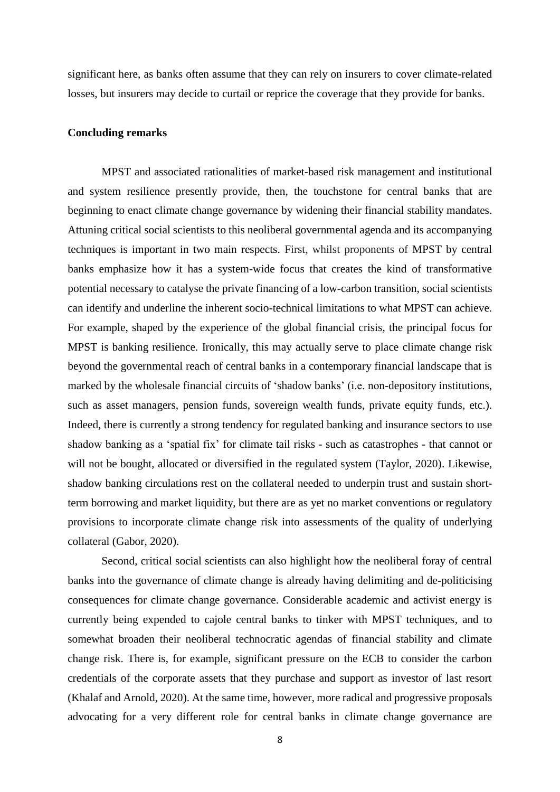significant here, as banks often assume that they can rely on insurers to cover climate-related losses, but insurers may decide to curtail or reprice the coverage that they provide for banks.

### **Concluding remarks**

MPST and associated rationalities of market-based risk management and institutional and system resilience presently provide, then, the touchstone for central banks that are beginning to enact climate change governance by widening their financial stability mandates. Attuning critical social scientists to this neoliberal governmental agenda and its accompanying techniques is important in two main respects. First, whilst proponents of MPST by central banks emphasize how it has a system-wide focus that creates the kind of transformative potential necessary to catalyse the private financing of a low-carbon transition, social scientists can identify and underline the inherent socio-technical limitations to what MPST can achieve. For example, shaped by the experience of the global financial crisis, the principal focus for MPST is banking resilience. Ironically, this may actually serve to place climate change risk beyond the governmental reach of central banks in a contemporary financial landscape that is marked by the wholesale financial circuits of 'shadow banks' (i.e. non-depository institutions, such as asset managers, pension funds, sovereign wealth funds, private equity funds, etc.). Indeed, there is currently a strong tendency for regulated banking and insurance sectors to use shadow banking as a 'spatial fix' for climate tail risks - such as catastrophes - that cannot or will not be bought, allocated or diversified in the regulated system (Taylor, 2020). Likewise, shadow banking circulations rest on the collateral needed to underpin trust and sustain shortterm borrowing and market liquidity, but there are as yet no market conventions or regulatory provisions to incorporate climate change risk into assessments of the quality of underlying collateral (Gabor, 2020).

Second, critical social scientists can also highlight how the neoliberal foray of central banks into the governance of climate change is already having delimiting and de-politicising consequences for climate change governance. Considerable academic and activist energy is currently being expended to cajole central banks to tinker with MPST techniques, and to somewhat broaden their neoliberal technocratic agendas of financial stability and climate change risk. There is, for example, significant pressure on the ECB to consider the carbon credentials of the corporate assets that they purchase and support as investor of last resort (Khalaf and Arnold, 2020). At the same time, however, more radical and progressive proposals advocating for a very different role for central banks in climate change governance are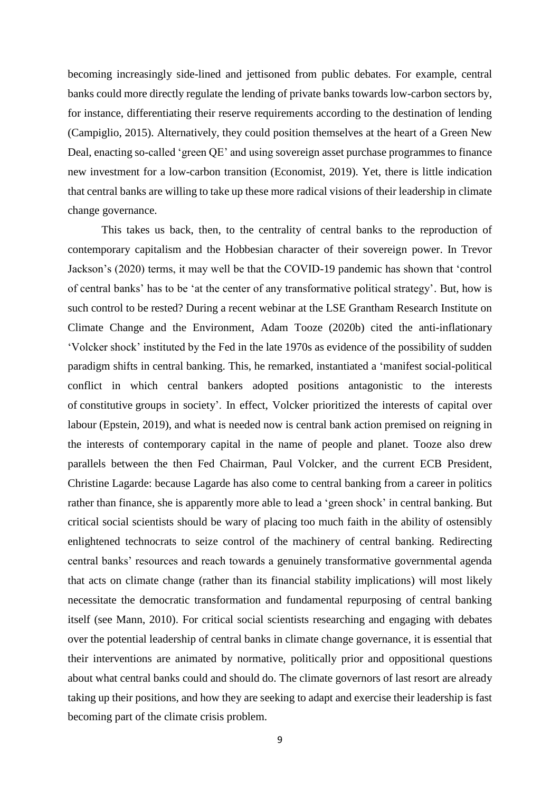becoming increasingly side-lined and jettisoned from public debates. For example, central banks could more directly regulate the lending of private banks towards low-carbon sectors by, for instance, differentiating their reserve requirements according to the destination of lending (Campiglio, 2015). Alternatively, they could position themselves at the heart of a Green New Deal, enacting so-called 'green QE' and using sovereign asset purchase programmes to finance new investment for a low-carbon transition (Economist, 2019). Yet, there is little indication that central banks are willing to take up these more radical visions of their leadership in climate change governance.

This takes us back, then, to the centrality of central banks to the reproduction of contemporary capitalism and the Hobbesian character of their sovereign power. In Trevor Jackson's (2020) terms, it may well be that the COVID-19 pandemic has shown that 'control of central banks' has to be 'at the center of any transformative political strategy'. But, how is such control to be rested? During a recent webinar at the LSE Grantham Research Institute on Climate Change and the Environment, Adam Tooze (2020b) cited the anti-inflationary 'Volcker shock' instituted by the Fed in the late 1970s as evidence of the possibility of sudden paradigm shifts in central banking. This, he remarked, instantiated a 'manifest social-political conflict in which central bankers adopted positions antagonistic to the interests of constitutive groups in society'. In effect, Volcker prioritized the interests of capital over labour (Epstein, 2019), and what is needed now is central bank action premised on reigning in the interests of contemporary capital in the name of people and planet. Tooze also drew parallels between the then Fed Chairman, Paul Volcker, and the current ECB President, Christine Lagarde: because Lagarde has also come to central banking from a career in politics rather than finance, she is apparently more able to lead a 'green shock' in central banking. But critical social scientists should be wary of placing too much faith in the ability of ostensibly enlightened technocrats to seize control of the machinery of central banking. Redirecting central banks' resources and reach towards a genuinely transformative governmental agenda that acts on climate change (rather than its financial stability implications) will most likely necessitate the democratic transformation and fundamental repurposing of central banking itself (see Mann, 2010). For critical social scientists researching and engaging with debates over the potential leadership of central banks in climate change governance, it is essential that their interventions are animated by normative, politically prior and oppositional questions about what central banks could and should do. The climate governors of last resort are already taking up their positions, and how they are seeking to adapt and exercise their leadership is fast becoming part of the climate crisis problem.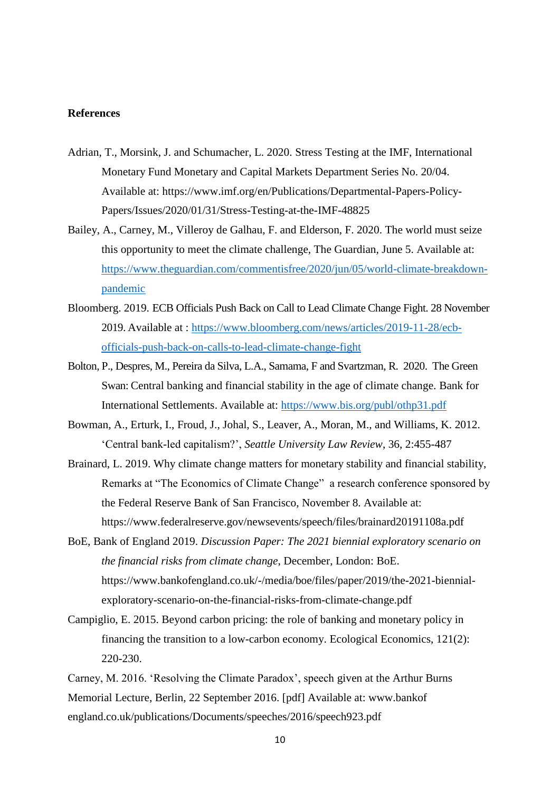#### **References**

- Adrian, T., Morsink, J. and Schumacher, L. 2020. Stress Testing at the IMF, International Monetary Fund Monetary and Capital Markets Department Series No. 20/04. Available at: https://www.imf.org/en/Publications/Departmental-Papers-Policy-Papers/Issues/2020/01/31/Stress-Testing-at-the-IMF-48825
- Bailey, A., Carney, M., Villeroy de Galhau, F. and Elderson, F. 2020. The world must seize this opportunity to meet the climate challenge, The Guardian, June 5. Available at: [https://www.theguardian.com/commentisfree/2020/jun/05/world-climate-breakdown](https://www.theguardian.com/commentisfree/2020/jun/05/world-climate-breakdown-pandemic)[pandemic](https://www.theguardian.com/commentisfree/2020/jun/05/world-climate-breakdown-pandemic)
- Bloomberg. 2019. ECB Officials Push Back on Call to Lead Climate Change Fight. 28 November 2019. Available at : [https://www.bloomberg.com/news/articles/2019-11-28/ecb](https://www.bloomberg.com/news/articles/2019-11-28/ecb-officials-push-back-on-calls-to-lead-climate-change-fight)[officials-push-back-on-calls-to-lead-climate-change-fight](https://www.bloomberg.com/news/articles/2019-11-28/ecb-officials-push-back-on-calls-to-lead-climate-change-fight)
- Bolton, P., Despres, M., Pereira da Silva, L.A., Samama, F and Svartzman, R. 2020. The Green Swan: Central banking and financial stability in the age of climate change. Bank for International Settlements. Available at:<https://www.bis.org/publ/othp31.pdf>
- Bowman, A., Erturk, I., Froud, J., Johal, S., Leaver, A., Moran, M., and Williams, K. 2012. 'Central bank-led capitalism?', *Seattle University Law Review*, 36, 2:455-487
- Brainard, L. 2019. Why climate change matters for monetary stability and financial stability, Remarks at "The Economics of Climate Change" a research conference sponsored by the Federal Reserve Bank of San Francisco, November 8. Available at: https://www.federalreserve.gov/newsevents/speech/files/brainard20191108a.pdf
- BoE, Bank of England 2019. *Discussion Paper: The 2021 biennial exploratory scenario on the financial risks from climate change*, December, London: BoE. https://www.bankofengland.co.uk/-/media/boe/files/paper/2019/the-2021-biennialexploratory-scenario-on-the-financial-risks-from-climate-change.pdf
- Campiglio, E. 2015. Beyond carbon pricing: the role of banking and monetary policy in financing the transition to a low-carbon economy. Ecological Economics, 121(2): 220-230.

Carney, M. 2016. 'Resolving the Climate Paradox', speech given at the Arthur Burns Memorial Lecture, Berlin, 22 September 2016. [pdf] Available at: www.bankof england.co.uk/publications/Documents/speeches/2016/speech923.pdf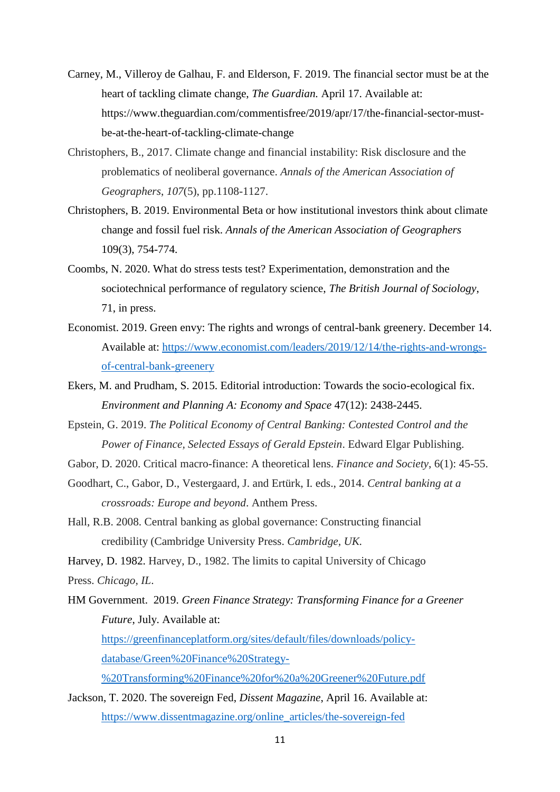- Carney, M., Villeroy de Galhau, F. and Elderson, F. 2019. The financial sector must be at the heart of tackling climate change, *The Guardian.* April 17. Available at: https://www.theguardian.com/commentisfree/2019/apr/17/the-financial-sector-mustbe-at-the-heart-of-tackling-climate-change
- Christophers, B., 2017. Climate change and financial instability: Risk disclosure and the problematics of neoliberal governance. *Annals of the American Association of Geographers*, *107*(5), pp.1108-1127.
- Christophers, B. 2019. Environmental Beta or how institutional investors think about climate change and fossil fuel risk. *Annals of the American Association of Geographers*  109(3), 754-774.
- Coombs, N. 2020. What do stress tests test? Experimentation, demonstration and the sociotechnical performance of regulatory science, *The British Journal of Sociology*, 71, in press.
- Economist. 2019. Green envy: The rights and wrongs of central-bank greenery. December 14. Available at: [https://www.economist.com/leaders/2019/12/14/the-rights-and-wrongs](https://www.economist.com/leaders/2019/12/14/the-rights-and-wrongs-of-central-bank-greenery)[of-central-bank-greenery](https://www.economist.com/leaders/2019/12/14/the-rights-and-wrongs-of-central-bank-greenery)
- Ekers, M. and Prudham, S. 2015. Editorial introduction: Towards the socio-ecological fix. *Environment and Planning A: Economy and Space* 47(12): 2438-2445.
- Epstein, G. 2019. *The Political Economy of Central Banking: Contested Control and the Power of Finance, Selected Essays of Gerald Epstein*. Edward Elgar Publishing.
- Gabor, D. 2020. Critical macro-finance: A theoretical lens. *Finance and Society*, 6(1): 45-55.
- Goodhart, C., Gabor, D., Vestergaard, J. and Ertürk, I. eds., 2014. *Central banking at a crossroads: Europe and beyond*. Anthem Press.
- Hall, R.B. 2008. Central banking as global governance: Constructing financial credibility (Cambridge University Press. *Cambridge, UK.*
- Harvey, D. 1982. Harvey, D., 1982. The limits to capital University of Chicago

Press. *Chicago, IL*.

HM Government. 2019. *Green Finance Strategy: Transforming Finance for a Greener Future*, July. Available at:

[https://greenfinanceplatform.org/sites/default/files/downloads/policy](https://greenfinanceplatform.org/sites/default/files/downloads/policy-database/Green%20Finance%20Strategy-%20Transforming%20Finance%20for%20a%20Greener%20Future.pdf)[database/Green%20Finance%20Strategy-](https://greenfinanceplatform.org/sites/default/files/downloads/policy-database/Green%20Finance%20Strategy-%20Transforming%20Finance%20for%20a%20Greener%20Future.pdf)

[%20Transforming%20Finance%20for%20a%20Greener%20Future.pdf](https://greenfinanceplatform.org/sites/default/files/downloads/policy-database/Green%20Finance%20Strategy-%20Transforming%20Finance%20for%20a%20Greener%20Future.pdf)

Jackson, T. 2020. The sovereign Fed, *Dissent Magazine*, April 16. Available at: [https://www.dissentmagazine.org/online\\_articles/the-sovereign-fed](https://www.dissentmagazine.org/online_articles/the-sovereign-fed)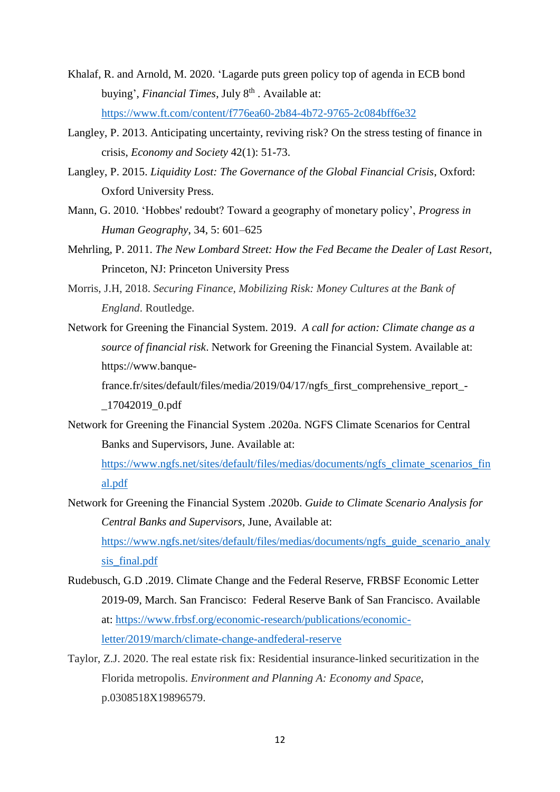- Khalaf, R. and Arnold, M. 2020. 'Lagarde puts green policy top of agenda in ECB bond buying', *Financial Times*, July 8<sup>th</sup> . Available at: <https://www.ft.com/content/f776ea60-2b84-4b72-9765-2c084bff6e32>
- Langley, P. 2013. Anticipating uncertainty, reviving risk? On the stress testing of finance in crisis, *Economy and Society* 42(1): 51-73.
- Langley, P. 2015. *Liquidity Lost: The Governance of the Global Financial Crisis*, Oxford: Oxford University Press.
- Mann, G. 2010. 'Hobbes' redoubt? Toward a geography of monetary policy', *Progress in Human Geography*, 34, 5: 601–625
- Mehrling, P. 2011. *The New Lombard Street: How the Fed Became the Dealer of Last Resort*, Princeton, NJ: Princeton University Press
- Morris, J.H, 2018. *Securing Finance, Mobilizing Risk: Money Cultures at the Bank of England*. Routledge.
- Network for Greening the Financial System. 2019. *A call for action: Climate change as a source of financial risk*. Network for Greening the Financial System. Available at: https://www.banque-

france.fr/sites/default/files/media/2019/04/17/ngfs\_first\_comprehensive\_report\_- \_17042019\_0.pdf

Network for Greening the Financial System .2020a. NGFS Climate Scenarios for Central Banks and Supervisors, June. Available at:

[https://www.ngfs.net/sites/default/files/medias/documents/ngfs\\_climate\\_scenarios\\_fin](https://www.ngfs.net/sites/default/files/medias/documents/ngfs_climate_scenarios_final.pdf) [al.pdf](https://www.ngfs.net/sites/default/files/medias/documents/ngfs_climate_scenarios_final.pdf)

Network for Greening the Financial System .2020b. *Guide to Climate Scenario Analysis for Central Banks and Supervisors*, June, Available at: [https://www.ngfs.net/sites/default/files/medias/documents/ngfs\\_guide\\_scenario\\_analy](https://www.ngfs.net/sites/default/files/medias/documents/ngfs_guide_scenario_analysis_final.pdf)

sis final.pdf

Rudebusch, G.D .2019. Climate Change and the Federal Reserve, FRBSF Economic Letter 2019-09, March. San Francisco: Federal Reserve Bank of San Francisco. Available at: [https://www.frbsf.org/economic-research/publications/economic](https://www.frbsf.org/economic-research/publications/economic-letter/2019/march/climate-change-andfederal-reserve)[letter/2019/march/climate-change-andfederal-reserve](https://www.frbsf.org/economic-research/publications/economic-letter/2019/march/climate-change-andfederal-reserve)

Taylor, Z.J. 2020. The real estate risk fix: Residential insurance-linked securitization in the Florida metropolis. *Environment and Planning A: Economy and Space*, p.0308518X19896579.